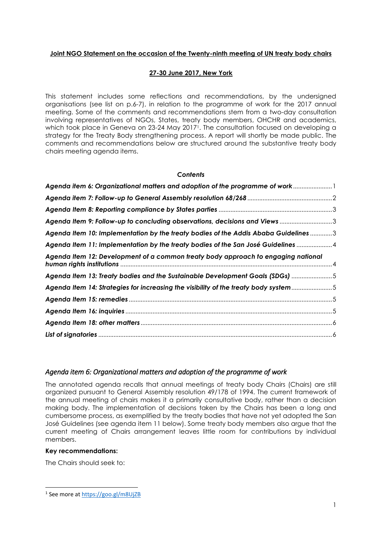## **Joint NGO Statement on the occasion of the Twenty-ninth meeting of UN treaty body chairs**

## **27-30 June 2017, New York**

This statement includes some reflections and recommendations, by the undersigned organisations (see list on p.6-7), in relation to the programme of work for the 2017 annual meeting. Some of the comments and recommendations stem from a two-day consultation involving representatives of NGOs, States, treaty body members, OHCHR and academics, which took place in Geneva on 23-24 May 20171. The consultation focused on developing a strategy for the Treaty Body strengthening process. A report will shortly be made public. The comments and recommendations below are structured around the substantive treaty body chairs meeting agenda items.

## *Contents*

| Agenda item 6: Organizational matters and adoption of the programme of work          |  |
|--------------------------------------------------------------------------------------|--|
|                                                                                      |  |
|                                                                                      |  |
| Agenda Item 9: Follow-up to concluding observations, decisions and Views 3           |  |
| Agenda Item 10: Implementation by the treaty bodies of the Addis Ababa Guidelines 3  |  |
| Agenda Item 11: Implementation by the treaty bodies of the San José Guidelines  4    |  |
| Agenda Item 12: Development of a common treaty body approach to engaging national    |  |
| Agenda Item 13: Treaty bodies and the Sustainable Development Goals (SDGs) 5         |  |
| Agenda Item 14: Strategies for increasing the visibility of the treaty body system 5 |  |
|                                                                                      |  |
|                                                                                      |  |
|                                                                                      |  |
|                                                                                      |  |

# <span id="page-0-0"></span>*Agenda item 6: Organizational matters and adoption of the programme of work*

The annotated agenda recalls that annual meetings of treaty body Chairs (Chairs) are still organized pursuant to General Assembly resolution 49/178 of 1994. The current framework of the annual meeting of chairs makes it a primarily consultative body, rather than a decision making body. The implementation of decisions taken by the Chairs has been a long and cumbersome process, as exemplified by the treaty bodies that have not yet adopted the San José Guidelines (see agenda item 11 below). Some treaty body members also argue that the current meeting of Chairs arrangement leaves little room for contributions by individual members.

## **Key recommendations:**

 $\overline{a}$ 

The Chairs should seek to:

<sup>&</sup>lt;sup>1</sup> See more a[t https://goo.gl/m8UjZB](https://goo.gl/m8UjZB)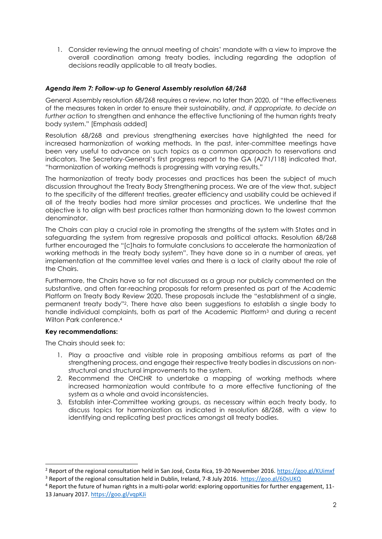1. Consider reviewing the annual meeting of chairs' mandate with a view to improve the overall coordination among treaty bodies, including regarding the adoption of decisions readily applicable to all treaty bodies.

# <span id="page-1-0"></span>*Agenda item 7: Follow-up to General Assembly resolution 68/268*

General Assembly resolution 68/268 requires a review, no later than 2020, of "the effectiveness of the measures taken in order to ensure their sustainability, *and, if appropriate, to decide on further action* to strengthen and enhance the effective functioning of the human rights treaty body system." [Emphasis added]

Resolution 68/268 and previous strengthening exercises have highlighted the need for increased harmonization of working methods. In the past, inter-committee meetings have been very useful to advance on such topics as a common approach to reservations and indicators. The Secretary-General's first progress report to the GA (A/71/118) indicated that, "harmonization of working methods is progressing with varying results."

The harmonization of treaty body processes and practices has been the subject of much discussion throughout the Treaty Body Strengthening process. We are of the view that, subject to the specificity of the different treaties, greater efficiency and usability could be achieved if all of the treaty bodies had more similar processes and practices. We underline that the objective is to align with best practices rather than harmonizing down to the lowest common denominator.

The Chairs can play a crucial role in promoting the strengths of the system with States and in safeguarding the system from regressive proposals and political attacks. Resolution 68/268 further encouraged the "[c]hairs to formulate conclusions to accelerate the harmonization of working methods in the treaty body system". They have done so in a number of areas, yet implementation at the committee level varies and there is a lack of clarity about the role of the Chairs.

Furthermore, the Chairs have so far not discussed as a group nor publicly commented on the substantive, and often far-reaching proposals for reform presented as part of the Academic Platform on Treaty Body Review 2020. These proposals include the "establishment of a single, permanent treaty body"2. There have also been suggestions to establish a single body to handle individual complaints, both as part of the Academic Platform<sup>3</sup> and during a recent Wilton Park conference.<sup>4</sup>

# **Key recommendations:**

-

The Chairs should seek to:

- 1. Play a proactive and visible role in proposing ambitious reforms as part of the strengthening process, and engage their respective treaty bodies in discussions on nonstructural and structural improvements to the system.
- 2. Recommend the OHCHR to undertake a mapping of working methods where increased harmonization would contribute to a more effective functioning of the system as a whole and avoid inconsistencies.
- 3. Establish inter-Committee working groups, as necessary within each treaty body, to discuss topics for harmonization as indicated in resolution 68/268, with a view to identifying and replicating best practices amongst all treaty bodies.

<sup>&</sup>lt;sup>2</sup> Report of the regional consultation held in San José, Costa Rica, 19-20 November 2016.<https://goo.gl/KUimxf>

<sup>3</sup> Report of the regional consultation held in Dublin, Ireland, 7-8 July 2016.<https://goo.gl/6DsUKQ>

<sup>4</sup> Report the future of human rights in a multi-polar world: exploring opportunities for further engagement, 11- 13 January 2017.<https://goo.gl/vqpKJi>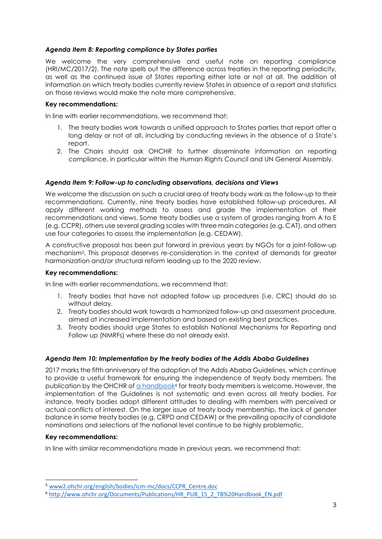## <span id="page-2-0"></span>*Agenda Item 8: Reporting compliance by States parties*

We welcome the very comprehensive and useful note on reporting compliance (HRI/MC/2017/2). The note spells out the difference across treaties in the reporting periodicity, as well as the continued issue of States reporting either late or not at all. The addition of information on which treaty bodies currently review States in absence of a report and statistics on those reviews would make the note more comprehensive.

## **Key recommendations:**

In line with earlier recommendations, we recommend that:

- 1. The treaty bodies work towards a unified approach to States parties that report after a long delay or not at all, including by conducting reviews in the absence of a State's report.
- 2. The Chairs should ask OHCHR to further disseminate information on reporting compliance, in particular within the Human Rights Council and UN General Assembly.

## <span id="page-2-1"></span>*Agenda Item 9: Follow-up to concluding observations, decisions and Views*

We welcome the discussion on such a crucial area of treaty body work as the follow-up to their recommendations. Currently, nine treaty bodies have established follow-up procedures. All apply different working methods to assess and grade the implementation of their recommendations and views. Some treaty bodies use a system of grades ranging from A to E (e.g. CCPR), others use several grading scales with three main categories (e.g. CAT), and others use four categories to assess the implementation (e.g. CEDAW).

A constructive proposal has been put forward in previous years by NGOs for a joint-follow-up mechanism5. This proposal deserves re-consideration in the context of demands for greater harmonization and/or structural reform leading up to the 2020 review.

## **Key recommendations:**

In line with earlier recommendations, we recommend that:

- 1. Treaty bodies that have not adopted follow up procedures (i.e. CRC) should do so without delay.
- 2. Treaty bodies should work towards a harmonized follow-up and assessment procedure, aimed at increased implementation and based on existing best practices.
- 3. Treaty bodies should urge States to establish National Mechanisms for Reporting and Follow up (NMRFs) where these do not already exist.

# <span id="page-2-2"></span>*Agenda Item 10: Implementation by the treaty bodies of the Addis Ababa Guidelines*

2017 marks the fifth anniversary of the adoption of the Addis Ababa Guidelines, which continue to provide a useful framework for ensuring the independence of treaty body members. The publication by the OHCHR of [a handbook](http://www.ohchr.org/Documents/Publications/HR_PUB_15_2_TB%20Handbook_EN.pdf)<sup>6</sup> for treaty body members is welcome. However, the implementation of the Guidelines is not systematic and even across all treaty bodies. For instance, treaty bodies adopt different attitudes to dealing with members with perceived or actual conflicts of interest. On the larger issue of treaty body membership, the lack of gender balance in some treaty bodies (e.g. CRPD and CEDAW) or the prevailing opacity of candidate nominations and selections at the national level continue to be highly problematic.

## **Key recommendations:**

1

In line with similar recommendations made in previous years, we recommend that:

<sup>5</sup> www2.ohchr.org/english/bodies/icm-mc/docs/CCPR\_Centre.doc

<sup>6</sup> [http://www.ohchr.org/Documents/Publications/HR\\_PUB\\_15\\_2\\_TB%20Handbook\\_EN.pdf](http://www.ohchr.org/Documents/Publications/HR_PUB_15_2_TB%20Handbook_EN.pdf)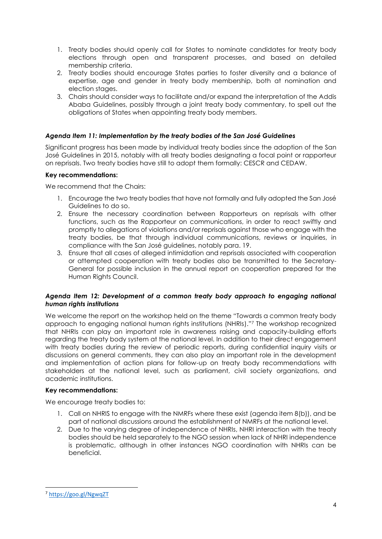- 1. Treaty bodies should openly call for States to nominate candidates for treaty body elections through open and transparent processes, and based on detailed membership criteria.
- 2. Treaty bodies should encourage States parties to foster diversity and a balance of expertise, age and gender in treaty body membership, both at nomination and election stages.
- 3. Chairs should consider ways to facilitate and/or expand the interpretation of the Addis Ababa Guidelines, possibly through a joint treaty body commentary, to spell out the obligations of States when appointing treaty body members.

# <span id="page-3-0"></span>*Agenda Item 11: Implementation by the treaty bodies of the San José Guidelines*

Significant progress has been made by individual treaty bodies since the adoption of the San José Guidelines in 2015, notably with all treaty bodies designating a focal point or rapporteur on reprisals. Two treaty bodies have still to adopt them formally: CESCR and CEDAW.

# **Key recommendations:**

We recommend that the Chairs:

- 1. Encourage the two treaty bodies that have not formally and fully adopted the San José Guidelines to do so.
- 2. Ensure the necessary coordination between Rapporteurs on reprisals with other functions, such as the Rapporteur on communications, in order to react swiftly and promptly to allegations of violations and/or reprisals against those who engage with the treaty bodies, be that through individual communications, reviews or inquiries, in compliance with the San José guidelines, notably para. 19.
- 3. Ensure that all cases of alleged intimidation and reprisals associated with cooperation or attempted cooperation with treaty bodies also be transmitted to the Secretary-General for possible inclusion in the annual report on cooperation prepared for the Human Rights Council.

# <span id="page-3-1"></span>*Agenda Item 12: Development of a common treaty body approach to engaging national human rights institutions*

We welcome the report on the workshop held on the theme "Towards a common treaty body approach to engaging national human rights institutions (NHRIs)."<sup>7</sup> The workshop recognized that NHRIs can play an important role in awareness raising and capacity-building efforts regarding the treaty body system at the national level. In addition to their direct engagement with treaty bodies during the review of periodic reports, during confidential inquiry visits or discussions on general comments, they can also play an important role in the development and implementation of action plans for follow-up on treaty body recommendations with stakeholders at the national level, such as parliament, civil society organizations, and academic institutions.

# **Key recommendations:**

We encourage treaty bodies to:

- 1. Call on NHRIS to engage with the NMRFs where these exist (agenda item 8(b)), and be part of national discussions around the establishment of NMRFs at the national level.
- 2. Due to the varying degree of independence of NHRIs, NHRI interaction with the treaty bodies should be held separately to the NGO session when lack of NHRI independence is problematic, although in other instances NGO coordination with NHRIs can be beneficial.

 $\overline{a}$ 

<sup>7</sup> <https://goo.gl/NgwqZT>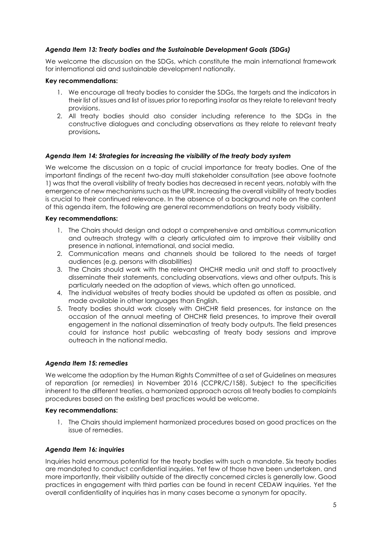## <span id="page-4-0"></span>*Agenda Item 13: Treaty bodies and the Sustainable Development Goals (SDGs)*

We welcome the discussion on the SDGs, which constitute the main international framework for international aid and sustainable development nationally.

## **Key recommendations:**

- 1. We encourage all treaty bodies to consider the SDGs, the targets and the indicators in their list of issues and list of issues prior to reporting insofar as they relate to relevant treaty provisions.
- 2. All treaty bodies should also consider including reference to the SDGs in the constructive dialogues and concluding observations as they relate to relevant treaty provisions**.**

## <span id="page-4-1"></span>*Agenda Item 14: Strategies for increasing the visibility of the treaty body system*

We welcome the discussion on a topic of crucial importance for treaty bodies. One of the important findings of the recent two-day multi stakeholder consultation (see above footnote 1) was that the overall visibility of treaty bodies has decreased in recent years, notably with the emergence of new mechanisms such as the UPR. Increasing the overall visibility of treaty bodies is crucial to their continued relevance. In the absence of a background note on the content of this agenda item, the following are general recommendations on treaty body visibility.

## **Key recommendations:**

- 1. The Chairs should design and adopt a comprehensive and ambitious communication and outreach strategy with a clearly articulated aim to improve their visibility and presence in national, international, and social media.
- 2. Communication means and channels should be tailored to the needs of target audiences (e.g. persons with disabilities)
- 3. The Chairs should work with the relevant OHCHR media unit and staff to proactively disseminate their statements, concluding observations, views and other outputs. This is particularly needed on the adoption of views, which often go unnoticed.
- 4. The individual websites of treaty bodies should be updated as often as possible, and made available in other languages than English.
- 5. Treaty bodies should work closely with OHCHR field presences, for instance on the occasion of the annual meeting of OHCHR field presences, to improve their overall engagement in the national dissemination of treaty body outputs. The field presences could for instance host public webcasting of treaty body sessions and improve outreach in the national media.

## <span id="page-4-2"></span>*Agenda Item 15: remedies*

We welcome the adoption by the Human Rights Committee of a set of Guidelines on measures of reparation (or remedies) in November 2016 (CCPR/C/158). Subject to the specificities inherent to the different treaties, a harmonized approach across all treaty bodies to complaints procedures based on the existing best practices would be welcome.

#### **Key recommendations:**

1. The Chairs should implement harmonized procedures based on good practices on the issue of remedies.

## <span id="page-4-3"></span>*Agenda Item 16: inquiries*

Inquiries hold enormous potential for the treaty bodies with such a mandate. Six treaty bodies are mandated to conduct confidential inquiries. Yet few of those have been undertaken, and more importantly, their visibility outside of the directly concerned circles is generally low. Good practices in engagement with third parties can be found in recent CEDAW inquiries. Yet the overall confidentiality of inquiries has in many cases become a synonym for opacity.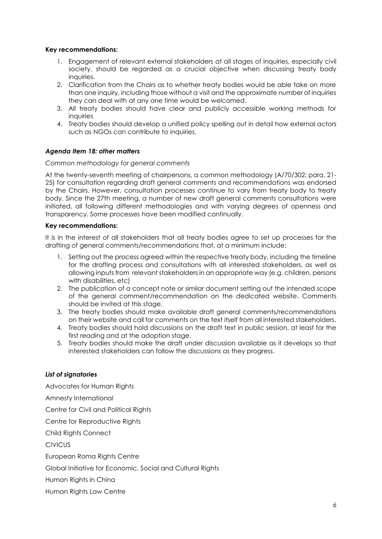## **Key recommendations:**

- 1. Engagement of relevant external stakeholders at all stages of inquiries, especially civil society, should be regarded as a crucial objective when discussing treaty body inquiries.
- 2. Clarification from the Chairs as to whether treaty bodies would be able take on more than one inquiry, including those without a visit and the approximate number of inquiries they can deal with at any one time would be welcomed.
- 3. All treaty bodies should have clear and publicly accessible working methods for inquiries
- 4. Treaty bodies should develop a unified policy spelling out in detail how external actors such as NGOs can contribute to inquiries.

# <span id="page-5-0"></span>*Agenda Item 18: other matters*

## *Common methodology for general comments*

At the twenty-seventh meeting of chairpersons, a common methodology (A/70/302; para. 21- 25) for consultation regarding draft general comments and recommendations was endorsed by the Chairs. However, consultation processes continue to vary from treaty body to treaty body. Since the 27th meeting, a number of new draft general comments consultations were initiated, all following different methodologies and with varying degrees of openness and transparency. Some processes have been modified continually.

## **Key recommendations:**

It is in the interest of all stakeholders that all treaty bodies agree to set up processes for the drafting of general comments/recommendations that, at a minimum include:

- 1. Setting out the process agreed within the respective treaty body, including the timeline for the drafting process and consultations with all interested stakeholders, as well as allowing inputs from relevant stakeholders in an appropriate way (e.g. children, persons with disabilities, etc)
- 2. The publication of a concept note or similar document setting out the intended scope of the general comment/recommendation on the dedicated website. Comments should be invited at this stage.
- 3. The treaty bodies should make available draft general comments/recommendations on their website and call for comments on the text itself from all interested stakeholders.
- 4. Treaty bodies should hold discussions on the draft text in public session, at least for the first reading and at the adoption stage.
- 5. Treaty bodies should make the draft under discussion available as it develops so that interested stakeholders can follow the discussions as they progress.

## <span id="page-5-1"></span>*List of signatories*

Advocates for Human Rights Amnesty International Centre for Civil and Political Rights Centre for Reproductive Rights Child Rights Connect CIVICUS European Roma Rights Centre Global Initiative for Economic, Social and Cultural Rights Human Rights in China Human Rights Law Centre